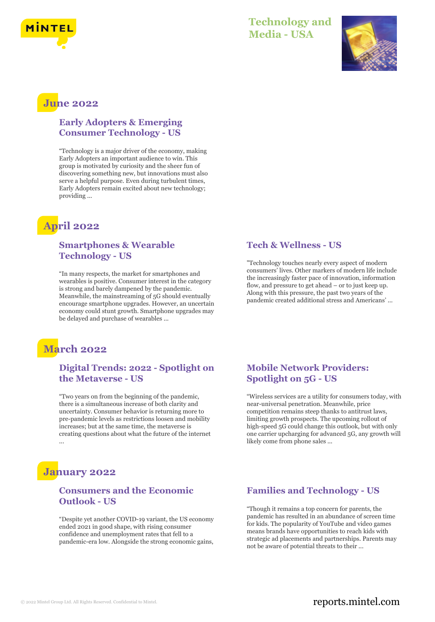

### **Technology and Media - USA**



# **June 2022**

#### **Early Adopters & Emerging Consumer Technology - US**

"Technology is a major driver of the economy, making Early Adopters an important audience to win. This group is motivated by curiosity and the sheer fun of discovering something new, but innovations must also serve a helpful purpose. Even during turbulent times, Early Adopters remain excited about new technology; providing ...

# **April 2022**

#### **Smartphones & Wearable Technology - US**

"In many respects, the market for smartphones and wearables is positive. Consumer interest in the category is strong and barely dampened by the pandemic. Meanwhile, the mainstreaming of 5G should eventually encourage smartphone upgrades. However, an uncertain economy could stunt growth. Smartphone upgrades may be delayed and purchase of wearables ...

### **Tech & Wellness - US**

"Technology touches nearly every aspect of modern consumers' lives. Other markers of modern life include the increasingly faster pace of innovation, information flow, and pressure to get ahead – or to just keep up. Along with this pressure, the past two years of the pandemic created additional stress and Americans' ...

## **March 2022**

### **Digital Trends: 2022 - Spotlight on the Metaverse - US**

"Two years on from the beginning of the pandemic, there is a simultaneous increase of both clarity and uncertainty. Consumer behavior is returning more to pre-pandemic levels as restrictions loosen and mobility increases; but at the same time, the metaverse is creating questions about what the future of the internet

### **January 2022**

#### **Consumers and the Economic Outlook - US**

"Despite yet another COVID-19 variant, the US economy ended 2021 in good shape, with rising consumer confidence and unemployment rates that fell to a pandemic-era low. Alongside the strong economic gains,

### **Mobile Network Providers: Spotlight on 5G - US**

"Wireless services are a utility for consumers today, with near-universal penetration. Meanwhile, price competition remains steep thanks to antitrust laws, limiting growth prospects. The upcoming rollout of high-speed 5G could change this outlook, but with only one carrier upcharging for advanced 5G, any growth will likely come from phone sales ...

### **Families and Technology - US**

"Though it remains a top concern for parents, the pandemic has resulted in an abundance of screen time for kids. The popularity of YouTube and video games means brands have opportunities to reach kids with strategic ad placements and partnerships. Parents may not be aware of potential threats to their ...

### © 2022 Mintel Group Ltd. All Rights Reserved. Confidential to Mintel.  $\blacksquare$  reports.mintel.com